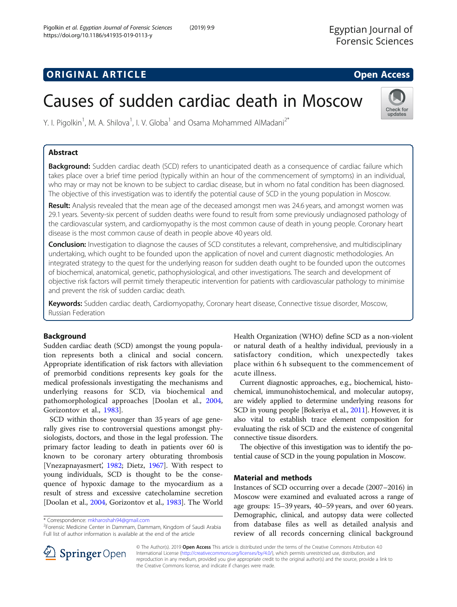# **ORIGINAL ARTICLE CONSERVANCE IN A LOCAL CONSERVANCE IN A LOCAL CONSERVANCE IN A LOCAL CONSERVANCE IN A LOCAL CONS**

# Causes of sudden cardiac death in Moscow



Y. I. Pigolkin<sup>1</sup>, M. A. Shilova<sup>1</sup>, I. V. Globa<sup>1</sup> and Osama Mohammed AlMadani<sup>2\*</sup>

# Abstract

Background: Sudden cardiac death (SCD) refers to unanticipated death as a consequence of cardiac failure which takes place over a brief time period (typically within an hour of the commencement of symptoms) in an individual, who may or may not be known to be subject to cardiac disease, but in whom no fatal condition has been diagnosed. The objective of this investigation was to identify the potential cause of SCD in the young population in Moscow.

Result: Analysis revealed that the mean age of the deceased amongst men was 24.6 years, and amongst women was 29.1 years. Seventy-six percent of sudden deaths were found to result from some previously undiagnosed pathology of the cardiovascular system, and cardiomyopathy is the most common cause of death in young people. Coronary heart disease is the most common cause of death in people above 40 years old.

**Conclusion:** Investigation to diagnose the causes of SCD constitutes a relevant, comprehensive, and multidisciplinary undertaking, which ought to be founded upon the application of novel and current diagnostic methodologies. An integrated strategy to the quest for the underlying reason for sudden death ought to be founded upon the outcomes of biochemical, anatomical, genetic, pathophysiological, and other investigations. The search and development of objective risk factors will permit timely therapeutic intervention for patients with cardiovascular pathology to minimise and prevent the risk of sudden cardiac death.

Keywords: Sudden cardiac death, Cardiomyopathy, Coronary heart disease, Connective tissue disorder, Moscow, Russian Federation

# Background

Sudden cardiac death (SCD) amongst the young population represents both a clinical and social concern. Appropriate identification of risk factors with alleviation of premorbid conditions represents key goals for the medical professionals investigating the mechanisms and underlying reasons for SCD, via biochemical and pathomorphological approaches [Doolan et al., [2004](#page-5-0), Gorizontov et al., [1983\]](#page-5-0).

SCD within those younger than 35 years of age generally gives rise to controversial questions amongst physiologists, doctors, and those in the legal profession. The primary factor leading to death in patients over 60 is known to be coronary artery obturating thrombosis [Vnezapnayasmert', [1982;](#page-5-0) Dietz, [1967](#page-5-0)]. With respect to young individuals, SCD is thought to be the consequence of hypoxic damage to the myocardium as a result of stress and excessive catecholamine secretion [Doolan et al., [2004](#page-5-0), Gorizontov et al., [1983](#page-5-0)]. The World Health Organization (WHO) define SCD as a non-violent or natural death of a healthy individual, previously in a satisfactory condition, which unexpectedly takes place within 6 h subsequent to the commencement of acute illness.

Current diagnostic approaches, e.g., biochemical, histochemical, immunohistochemical, and molecular autopsy, are widely applied to determine underlying reasons for SCD in young people [Bokeriya et al., [2011](#page-4-0)]. However, it is also vital to establish trace element composition for evaluating the risk of SCD and the existence of congenital connective tissue disorders.

The objective of this investigation was to identify the potential cause of SCD in the young population in Moscow.

## Material and methods

Instances of SCD occurring over a decade (2007–2016) in Moscow were examined and evaluated across a range of age groups: 15–39 years, 40–59 years, and over 60 years. Demographic, clinical, and autopsy data were collected from database files as well as detailed analysis and review of all records concerning clinical background



© The Author(s). 2019 Open Access This article is distributed under the terms of the Creative Commons Attribution 4.0 International License ([http://creativecommons.org/licenses/by/4.0/\)](http://creativecommons.org/licenses/by/4.0/), which permits unrestricted use, distribution, and reproduction in any medium, provided you give appropriate credit to the original author(s) and the source, provide a link to the Creative Commons license, and indicate if changes were made.

<sup>\*</sup> Correspondence: [mkharoshah94@gmail.com](mailto:mkharoshah94@gmail.com) <sup>2</sup>

<sup>&</sup>lt;sup>2</sup>Forensic Medicine Center in Dammam, Dammam, Kingdom of Saudi Arabia Full list of author information is available at the end of the article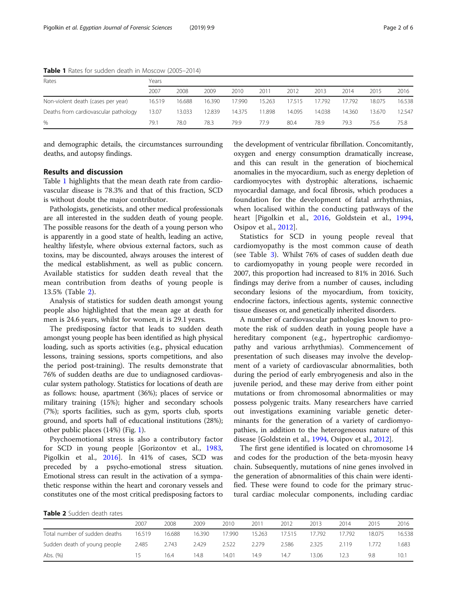|                                      | .      |        |        |        |        |        |        |        |        |        |  |  |
|--------------------------------------|--------|--------|--------|--------|--------|--------|--------|--------|--------|--------|--|--|
| Rates                                | Years  |        |        |        |        |        |        |        |        |        |  |  |
|                                      | 2007   | 2008   | 2009   | 2010   | 2011   | 2012   | 2013   | 2014   | 2015   | 2016   |  |  |
| Non-violent death (cases per year)   | 16.519 | 16.688 | 16.390 | 17.990 | 15.263 | 17.515 | 17.792 | 17.792 | 18.075 | 16.538 |  |  |
| Deaths from cardiovascular pathology | 13.07  | 13.033 | 12.839 | 14.375 | 1.898  | 14.095 | 14.038 | 14.360 | 13.670 | 12.547 |  |  |
| %                                    | 79.1   | 78.0   | 78.3   | 79.9   | 77.9   | 80.4   | 78.9   | 79.3   | 75.6   | 75.8   |  |  |

Table 1 Rates for sudden death in Moscow (2005–2014)

and demographic details, the circumstances surrounding deaths, and autopsy findings.

### Results and discussion

Table 1 highlights that the mean death rate from cardiovascular disease is 78.3% and that of this fraction, SCD is without doubt the major contributor.

Pathologists, geneticists, and other medical professionals are all interested in the sudden death of young people. The possible reasons for the death of a young person who is apparently in a good state of health, leading an active, healthy lifestyle, where obvious external factors, such as toxins, may be discounted, always arouses the interest of the medical establishment, as well as public concern. Available statistics for sudden death reveal that the mean contribution from deaths of young people is 13.5% (Table 2).

Analysis of statistics for sudden death amongst young people also highlighted that the mean age at death for men is 24.6 years, whilst for women, it is 29.1 years.

The predisposing factor that leads to sudden death amongst young people has been identified as high physical loading, such as sports activities (e.g., physical education lessons, training sessions, sports competitions, and also the period post-training). The results demonstrate that 76% of sudden deaths are due to undiagnosed cardiovascular system pathology. Statistics for locations of death are as follows: house, apartment (36%); places of service or military training (15%); higher and secondary schools (7%); sports facilities, such as gym, sports club, sports ground, and sports hall of educational institutions (28%); other public places (14%) (Fig. [1\)](#page-2-0).

Psychoemotional stress is also a contributory factor for SCD in young people [Gorizontov et al., [1983](#page-5-0), Pigolkin et al., [2016](#page-5-0)]. In 41% of cases, SCD was preceded by a psycho-emotional stress situation. Emotional stress can result in the activation of a sympathetic response within the heart and coronary vessels and constitutes one of the most critical predisposing factors to the development of ventricular fibrillation. Concomitantly, oxygen and energy consumption dramatically increase, and this can result in the generation of biochemical anomalies in the myocardium, such as energy depletion of cardiomyocytes with dystrophic alterations, ischaemic myocardial damage, and focal fibrosis, which produces a foundation for the development of fatal arrhythmias, when localised within the conducting pathways of the heart [Pigolkin et al., [2016,](#page-5-0) Goldstein et al., [1994](#page-5-0), Osipov et al., [2012](#page-5-0)].

Statistics for SCD in young people reveal that cardiomyopathy is the most common cause of death (see Table [3\)](#page-2-0). Whilst 76% of cases of sudden death due to cardiomyopathy in young people were recorded in 2007, this proportion had increased to 81% in 2016. Such findings may derive from a number of causes, including secondary lesions of the myocardium, from toxicity, endocrine factors, infectious agents, systemic connective tissue diseases or, and genetically inherited disorders.

A number of cardiovascular pathologies known to promote the risk of sudden death in young people have a hereditary component (e.g., hypertrophic cardiomyopathy and various arrhythmias). Commencement of presentation of such diseases may involve the development of a variety of cardiovascular abnormalities, both during the period of early embryogenesis and also in the juvenile period, and these may derive from either point mutations or from chromosomal abnormalities or may possess polygenic traits. Many researchers have carried out investigations examining variable genetic determinants for the generation of a variety of cardiomyopathies, in addition to the heterogeneous nature of this disease [Goldstein et al., [1994](#page-5-0), Osipov et al., [2012](#page-5-0)].

The first gene identified is located on chromosome 14 and codes for the production of the beta-myosin heavy chain. Subsequently, mutations of nine genes involved in the generation of abnormalities of this chain were identified. These were found to code for the primary structural cardiac molecular components, including cardiac

Table 2 Sudden death rates

|                               | 2007   | 2008   | 2009   | 2010   | 2011   | 2012   | 2013   | 2014   | 2015   | 2016   |
|-------------------------------|--------|--------|--------|--------|--------|--------|--------|--------|--------|--------|
| Total number of sudden deaths | 16.519 | 16.688 | 16.390 | 17.990 | 15.263 | 17.515 | 17.792 | 17.792 | 18.075 | 16.538 |
| Sudden death of young people  | 2.485  | 2.743  | 2.429  | 2.522  | 2.279  | 2.586  | 2.325  | 2119   | 772    | .683   |
| Abs. (%)                      | 15     | 16.4   | 14.8   | 14.01  | 14.9   | 14.7   | 13.06  | 12.3   | 9.8    | 10.1   |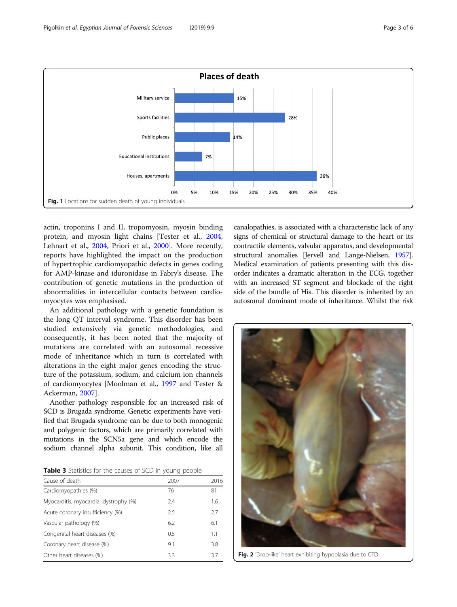<span id="page-2-0"></span>

actin, troponins I and II, tropomyosin, myosin binding protein, and myosin light chains [Tester et al., [2004](#page-5-0), Lehnart et al., [2004,](#page-5-0) Priori et al., [2000\]](#page-5-0). More recently, reports have highlighted the impact on the production of hypertrophic cardiomyopathic defects in genes coding for AMP-kinase and iduronidase in Fabry's disease. The contribution of genetic mutations in the production of abnormalities in intercellular contacts between cardiomyocytes was emphasised.

An additional pathology with a genetic foundation is the long QT interval syndrome. This disorder has been studied extensively via genetic methodologies, and consequently, it has been noted that the majority of mutations are correlated with an autosomal recessive mode of inheritance which in turn is correlated with alterations in the eight major genes encoding the structure of the potassium, sodium, and calcium ion channels of cardiomyocytes [Moolman et al., [1997](#page-5-0) and Tester & Ackerman, [2007\]](#page-5-0).

Another pathology responsible for an increased risk of SCD is Brugada syndrome. Genetic experiments have verified that Brugada syndrome can be due to both monogenic and polygenic factors, which are primarily correlated with mutations in the SCN5a gene and which encode the sodium channel alpha subunit. This condition, like all

Table 3 Statistics for the causes of SCD in young people

| Cause of death                        | 2007 | 2016 |
|---------------------------------------|------|------|
| Cardiomyopathies (%)                  | 76   | 81   |
| Myocarditis, myocardial dystrophy (%) | 2.4  | 1.6  |
| Acute coronary insufficiency (%)      | 2.5  | 27   |
| Vascular pathology (%)                | 6.2  | 6.1  |
| Congenital heart diseases (%)         | 05   | 11   |
| Coronary heart disease (%)            | 9.1  | 3.8  |
| Other heart diseases (%)              | 3.3  | 37   |

canalopathies, is associated with a characteristic lack of any signs of chemical or structural damage to the heart or its contractile elements, valvular apparatus, and developmental structural anomalies [Jervell and Lange-Nielsen, [1957](#page-5-0)]. Medical examination of patients presenting with this disorder indicates a dramatic alteration in the ECG, together with an increased ST segment and blockade of the right side of the bundle of His. This disorder is inherited by an autosomal dominant mode of inheritance. Whilst the risk



Fig. 2 'Drop-like' heart exhibiting hypoplasia due to CTD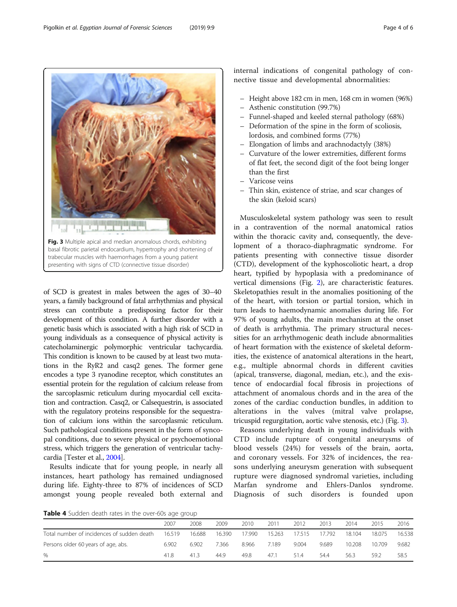of SCD is greatest in males between the ages of 30–40 years, a family background of fatal arrhythmias and physical stress can contribute a predisposing factor for their development of this condition. A further disorder with a genetic basis which is associated with a high risk of SCD in young individuals as a consequence of physical activity is catecholaminergic polymorphic ventricular tachycardia. This condition is known to be caused by at least two mutations in the RyR2 and casq2 genes. The former gene encodes a type 3 ryanodine receptor, which constitutes an essential protein for the regulation of calcium release from the sarcoplasmic reticulum during myocardial cell excitation and contraction. Casq2, or Calsequestrin, is associated with the regulatory proteins responsible for the sequestration of calcium ions within the sarcoplasmic reticulum. Such pathological conditions present in the form of syncopal conditions, due to severe physical or psychoemotional stress, which triggers the generation of ventricular tachycardia [Tester et al., [2004](#page-5-0)].

Results indicate that for young people, in nearly all instances, heart pathology has remained undiagnosed during life. Eighty-three to 87% of incidences of SCD amongst young people revealed both external and

– Elongation of limbs and arachnodactyly (38%) – Curvature of the lower extremities, different forms of flat feet, the second digit of the foot being longer than the first – Varicose veins – Thin skin, existence of striae, and scar changes of the skin (keloid scars) Musculoskeletal system pathology was seen to result

internal indications of congenital pathology of connective tissue and developmental abnormalities:

– Height above 182 cm in men, 168 cm in women (96%)

– Funnel-shaped and keeled sternal pathology (68%) – Deformation of the spine in the form of scoliosis,

– Asthenic constitution (99.7%)

lordosis, and combined forms (77%)

in a contravention of the normal anatomical ratios within the thoracic cavity and, consequently, the development of a thoraco-diaphragmatic syndrome. For patients presenting with connective tissue disorder (CTD), development of the kyphoscoliotic heart, a drop heart, typified by hypoplasia with a predominance of vertical dimensions (Fig. [2\)](#page-2-0), are characteristic features. Skeletopathies result in the anomalies positioning of the of the heart, with torsion or partial torsion, which in turn leads to haemodynamic anomalies during life. For 97% of young adults, the main mechanism at the onset of death is arrhythmia. The primary structural necessities for an arrhythmogenic death include abnormalities of heart formation with the existence of skeletal deformities, the existence of anatomical alterations in the heart, e.g., multiple abnormal chords in different cavities (apical, transverse, diagonal, median, etc.), and the existence of endocardial focal fibrosis in projections of attachment of anomalous chords and in the area of the zones of the cardiac conduction bundles, in addition to alterations in the valves (mitral valve prolapse, tricuspid regurgitation, aortic valve stenosis, etc.) (Fig. 3).

Reasons underlying death in young individuals with CTD include rupture of congenital aneurysms of blood vessels (24%) for vessels of the brain, aorta, and coronary vessels. For 32% of incidences, the reasons underlying aneurysm generation with subsequent rupture were diagnosed syndromal varieties, including Marfan syndrome and Ehlers-Danlos syndrome. Diagnosis of such disorders is founded upon



|                                            | 2007   | 2008   | 2009   | 2010  | 2011   | 2012   | 2013   | 2014   | 2015   | 2016   |
|--------------------------------------------|--------|--------|--------|-------|--------|--------|--------|--------|--------|--------|
| Total number of incidences of sudden death | 16.519 | 16.688 | 16.390 | 7.990 | 15.263 | 17.515 | 17.792 | 18.104 | 18.075 | 16.538 |
| Persons older 60 years of age, abs.        | 6.902  | 6.902  | 7.366  | 8.966 | 7.189  | 9.004  | 9.689  | 10.208 | 10.709 | 9.682  |
| %                                          | 41.8   | 41.3   | 44.9   | 49.8  | 47.1   | 514    | 544    | 56.3   | 59.2   | 58.5   |

Fig. 3 Multiple apical and median anomalous chords, exhibiting basal fibrotic parietal endocardium, hypertrophy and shortening of trabecular muscles with haemorrhages from a young patient presenting with signs of CTD (connective tissue disorder)

<span id="page-3-0"></span>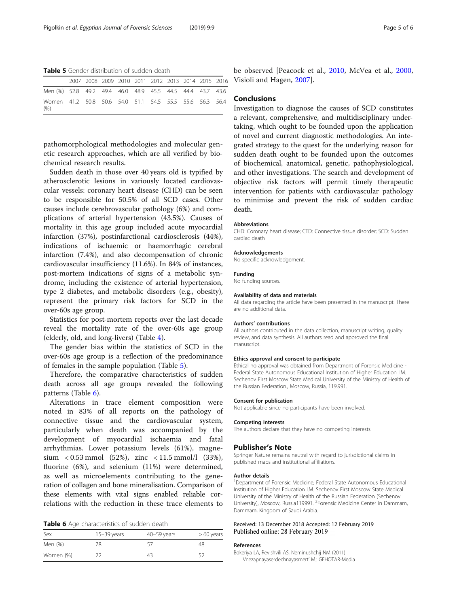<span id="page-4-0"></span>Table 5 Gender distribution of sudden death

|                                                                 |  |  | 2007 2008 2009 2010 2011 2012 2013 2014 2015 2016 |  |  |
|-----------------------------------------------------------------|--|--|---------------------------------------------------|--|--|
| Men (%) 52.8 49.2 49.4 46.0 48.9 45.5 44.5 44.4 43.7 43.6       |  |  |                                                   |  |  |
| Women 41.2 50.8 50.6 54.0 51.1 54.5 55.5 55.6 56.3 56.4<br>(% ) |  |  |                                                   |  |  |

pathomorphological methodologies and molecular genetic research approaches, which are all verified by biochemical research results.

Sudden death in those over 40 years old is typified by atherosclerotic lesions in variously located cardiovascular vessels: coronary heart disease (CHD) can be seen to be responsible for 50.5% of all SCD cases. Other causes include cerebrovascular pathology (6%) and complications of arterial hypertension (43.5%). Causes of mortality in this age group included acute myocardial infarction (37%), postinfarctional cardiosclerosis (44%), indications of ischaemic or haemorrhagic cerebral infarction (7.4%), and also decompensation of chronic cardiovascular insufficiency (11.6%). In 84% of instances, post-mortem indications of signs of a metabolic syndrome, including the existence of arterial hypertension, type 2 diabetes, and metabolic disorders (e.g., obesity), represent the primary risk factors for SCD in the over-60s age group.

Statistics for post-mortem reports over the last decade reveal the mortality rate of the over-60s age group (elderly, old, and long-livers) (Table [4](#page-3-0)).

The gender bias within the statistics of SCD in the over-60s age group is a reflection of the predominance of females in the sample population (Table 5).

Therefore, the comparative characteristics of sudden death across all age groups revealed the following patterns (Table 6).

Alterations in trace element composition were noted in 83% of all reports on the pathology of connective tissue and the cardiovascular system, particularly when death was accompanied by the development of myocardial ischaemia and fatal arrhythmias. Lower potassium levels (61%), magnesium <  $0.53$  mmol (52%), zinc < 11.5 mmol/l (33%), fluorine (6%), and selenium (11%) were determined, as well as microelements contributing to the generation of collagen and bone mineralisation. Comparison of these elements with vital signs enabled reliable correlations with the reduction in these trace elements to

| Table 6 Age characteristics of sudden death |  |
|---------------------------------------------|--|
|---------------------------------------------|--|

| Sex       | $15 - 39$ years | $40 - 59$ years | $>60$ years |
|-----------|-----------------|-----------------|-------------|
| Men (%)   | 78              |                 | 48          |
| Women (%) |                 | 43              | 52          |

be observed [Peacock et al., [2010,](#page-5-0) McVea et al., [2000](#page-5-0), Visioli and Hagen, [2007\]](#page-5-0).

#### Conclusions

Investigation to diagnose the causes of SCD constitutes a relevant, comprehensive, and multidisciplinary undertaking, which ought to be founded upon the application of novel and current diagnostic methodologies. An integrated strategy to the quest for the underlying reason for sudden death ought to be founded upon the outcomes of biochemical, anatomical, genetic, pathophysiological, and other investigations. The search and development of objective risk factors will permit timely therapeutic intervention for patients with cardiovascular pathology to minimise and prevent the risk of sudden cardiac death.

#### Abbreviations

CHD: Coronary heart disease; CTD: Connective tissue disorder; SCD: Sudden cardiac death

#### Acknowledgements

No specific acknowledgement.

#### Funding

No funding sources.

#### Availability of data and materials

All data regarding the article have been presented in the manuscript. There are no additional data.

#### Authors' contributions

All authors contributed in the data collection, manuscript writing, quality review, and data synthesis. All authors read and approved the final manuscript.

#### Ethics approval and consent to participate

Ethical no approval was obtained from Department of Forensic Medicine - Federal State Autonomous Educational Institution of Higher Education I.M. Sechenov First Moscow State Medical University of the Ministry of Health of the Russian Federation., Moscow, Russia, 119,991.

#### Consent for publication

Not applicable since no participants have been involved.

#### Competing interests

The authors declare that they have no competing interests.

#### Publisher's Note

Springer Nature remains neutral with regard to jurisdictional claims in published maps and institutional affiliations.

#### Author details

<sup>1</sup>Department of Forensic Medicine, Federal State Autonomous Educational Institution of Higher Education I.M. Sechenov First Moscow State Medical University of the Ministry of Health of the Russian Federation (Sechenov University), Moscow, Russia119991. <sup>2</sup>Forensic Medicine Center in Dammam, Dammam, Kingdom of Saudi Arabia.

#### Received: 13 December 2018 Accepted: 12 February 2019 Published online: 28 February 2019

#### References

Bokeriya LA, Revishvili AS, Neminushchij NM (2011) Vnezapnayaserdechnayasmert' M.: GEHOTAR-Media